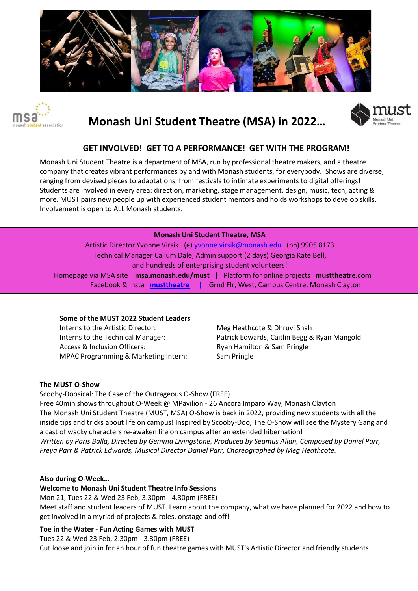



# **Monash Uni Student Theatre (MSA) in 2022…**



## **GET INVOLVED! GET TO A PERFORMANCE! GET WITH THE PROGRAM!**

Monash Uni Student Theatre is a department of MSA, run by professional theatre makers, and a theatre company that creates vibrant performances by and with Monash students, for everybody. Shows are diverse, ranging from devised pieces to adaptations, from festivals to intimate experiments to digital offerings! Students are involved in every area: direction, marketing, stage management, design, music, tech, acting & more. MUST pairs new people up with experienced student mentors and holds workshops to develop skills. Involvement is open to ALL Monash students.

#### **Monash Uni Student Theatre, MSA**

Artistic Director Yvonne Virsik (e) yvonne.virsik@monash.edu (ph) 9905 8173 Technical Manager Callum Dale, Admin support (2 days) Georgia Kate Bell, and hundreds of enterprising student volunteers! Homepage via MSA site **msa.monash.edu/must** | Platform for online projects **musttheatre.com** Facebook & Insta **musttheatre** |Grnd Flr, West, Campus Centre, Monash Clayton

#### **Some of the MUST 2022 Student Leaders**

Interns to the Artistic Director: Meg Heathcote & Dhruvi Shah Access & Inclusion Officers: The Ryan Hamilton & Sam Pringle MPAC Programming & Marketing Intern: Sam Pringle

Interns to the Technical Manager: Patrick Edwards, Caitlin Begg & Ryan Mangold

#### **The MUST O-Show**

Scooby-Doosical: The Case of the Outrageous O-Show (FREE) Free 40min shows throughout O-Week @ MPavilion - 26 Ancora Imparo Way, Monash Clayton The Monash Uni Student Theatre (MUST, MSA) O-Show is back in 2022, providing new students with all the inside tips and tricks about life on campus! Inspired by Scooby-Doo, The O-Show will see the Mystery Gang and a cast of wacky characters re-awaken life on campus after an extended hibernation! *Written by Paris Balla, Directed by Gemma Livingstone, Produced by Seamus Allan, Composed by Daniel Parr, Freya Parr & Patrick Edwards, Musical Director Daniel Parr, Choreographed by Meg Heathcote.* 

#### **Also during O-Week…**

#### **Welcome to Monash Uni Student Theatre Info Sessions**

Mon 21, Tues 22 & Wed 23 Feb, 3.30pm - 4.30pm (FREE) Meet staff and student leaders of MUST. Learn about the company, what we have planned for 2022 and how to get involved in a myriad of projects & roles, onstage and off!

#### **Toe in the Water - Fun Acting Games with MUST**

Tues 22 & Wed 23 Feb, 2.30pm - 3.30pm (FREE) Cut loose and join in for an hour of fun theatre games with MUST's Artistic Director and friendly students.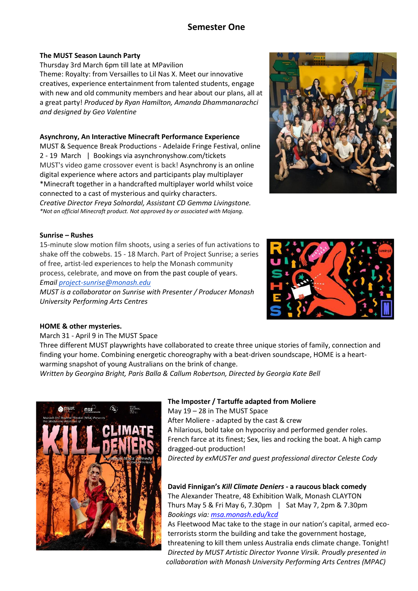# **Semester One**

#### **The MUST Season Launch Party**

Thursday 3rd March 6pm till late at MPavilion Theme: Royalty: from Versailles to Lil Nas X. Meet our innovative creatives, experience entertainment from talented students, engage with new and old community members and hear about our plans, all at a great party! *Produced by Ryan Hamilton, Amanda Dhammanarachci and designed by Geo Valentine*

#### **Asynchrony, An Interactive Minecraft Performance Experience**

MUST & Sequence Break Productions - Adelaide Fringe Festival, online 2 - 19 March | Bookings via asynchronyshow.com/tickets MUST's video game crossover event is back! Asynchrony is an online digital experience where actors and participants play multiplayer \*Minecraft together in a handcrafted multiplayer world whilst voice connected to a cast of mysterious and quirky characters. *Creative Director Freya Solnordal, Assistant CD Gemma Livingstone. \*Not an official Minecraft product. Not approved by or associated with Mojang.* 



#### **Sunrise – Rushes**

15-minute slow motion film shoots, using a series of fun activations to shake off the cobwebs. 15 - 18 March. Part of Project Sunrise; a series of free, artist-led experiences to help the Monash community process, celebrate, and move on from the past couple of years. *Email [project-sunrise@monash.edu](mailto:project-sunrise@monash.edu)*

*MUST is a collaborator on Sunrise with Presenter / Producer Monash University Performing Arts Centres* 



#### **HOME & other mysteries.**

March 31 - April 9 in The MUST Space

Three different MUST playwrights have collaborated to create three unique stories of family, connection and finding your home. Combining energetic choreography with a beat-driven soundscape, HOME is a heartwarming snapshot of young Australians on the brink of change.

*Written by Georgina Bright, Paris Balla & Callum Robertson, Directed by Georgia Kate Bell*



#### **The Imposter / Tartuffe adapted from Moliere**

May 19 – 28 in The MUST Space After Moliere - adapted by the cast & crew A hilarious, bold take on hypocrisy and performed gender roles. French farce at its finest; Sex, lies and rocking the boat. A high camp dragged-out production! *Directed by exMUSTer and guest professional director Celeste Cody*

**David Finnigan's** *Kill Climate Deniers* **- a raucous black comedy**  The Alexander Theatre, 48 Exhibition Walk, Monash CLAYTON Thurs May 5 & Fri May 6, 7.30pm | Sat May 7, 2pm & 7.30pm *Bookings via: [msa.monash.edu/kcd](http://msa.monash.edu/kcd?fbclid=IwAR2ExcaHSrvRtggrmnjRsLEb-ltf2kZ2ePCilhPchm2_dB1i-9eGDEmZRq0)*

As Fleetwood Mac take to the stage in our nation's capital, armed ecoterrorists storm the building and take the government hostage, threatening to kill them unless Australia ends climate change. Tonight! *Directed by MUST Artistic Director Yvonne Virsik. Proudly presented in collaboration with Monash University Performing Arts Centres (MPAC)*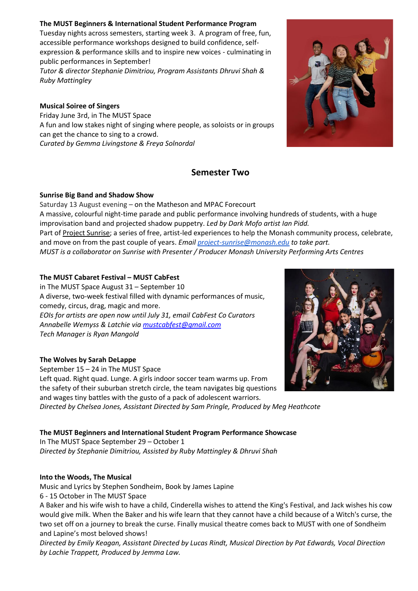#### **The MUST Beginners & International Student Performance Program**

Tuesday nights across semesters, starting week 3. A program of free, fun, accessible performance workshops designed to build confidence, selfexpression & performance skills and to inspire new voices - culminating in public performances in September!

*Tutor & director Stephanie Dimitriou, Program Assistants Dhruvi Shah & Ruby Mattingley* 

#### **Musical Soiree of Singers**

Friday June 3rd, in The MUST Space A fun and low stakes night of singing where people, as soloists or in groups can get the chance to sing to a crowd. *Curated by Gemma Livingstone & Freya Solnordal*

## **Semester Two**

#### **Sunrise Big Band and Shadow Show**

Saturday 13 August evening – on the Matheson and MPAC Forecourt A massive, colourful night-time parade and public performance involving hundreds of students, with a huge improvisation band and projected shadow puppetry. *Led by Dark Mofo artist Ian Pidd.*  Part of [Project Sunrise;](https://www.monash.edu/students/campus-life/project-sunrise) a series of free, artist-led experiences to help the Monash community process, celebrate, and move on from the past couple of years. *Emai[l project-sunrise@monash.edu](mailto:project-sunrise@monash.edu) to take part. MUST is a collaborator on Sunrise with Presenter / Producer Monash University Performing Arts Centres* 

#### **The MUST Cabaret Festival – MUST CabFest**

in The MUST Space August 31 – September 10 A diverse, two-week festival filled with dynamic performances of music, comedy, circus, drag, magic and more. *EOIs for artists are open now until July 31, email CabFest Co Curators Annabelle Wemyss & Latchie vi[a mustcabfest@gmail.com](mailto:mustcabfest@gmail.com) Tech Manager is Ryan Mangold*

#### **The Wolves by Sarah DeLappe**

September 15 – 24 in The MUST Space Left quad. Right quad. Lunge. A girls indoor soccer team warms up. From the safety of their suburban stretch circle, the team navigates big questions and wages tiny battles with the gusto of a pack of adolescent warriors. *Directed by Chelsea Jones, Assistant Directed by Sam Pringle, Produced by Meg Heathcote*

#### **The MUST Beginners and International Student Program Performance Showcase**

In The MUST Space September 29 – October 1 *Directed by Stephanie Dimitriou, Assisted by Ruby Mattingley & Dhruvi Shah*

#### **Into the Woods, The Musical**

Music and Lyrics by Stephen Sondheim, Book by James Lapine

6 - 15 October in The MUST Space

A Baker and his wife wish to have a child, Cinderella wishes to attend the King's Festival, and Jack wishes his cow would give milk. When the Baker and his wife learn that they cannot have a child because of a Witch's curse, the two set off on a journey to break the curse. Finally musical theatre comes back to MUST with one of Sondheim and Lapine's most beloved shows!

*Directed by Emily Keagan, Assistant Directed by Lucas Rindt, Musical Direction by Pat Edwards, Vocal Direction by Lachie Trappett, Produced by Jemma Law.*